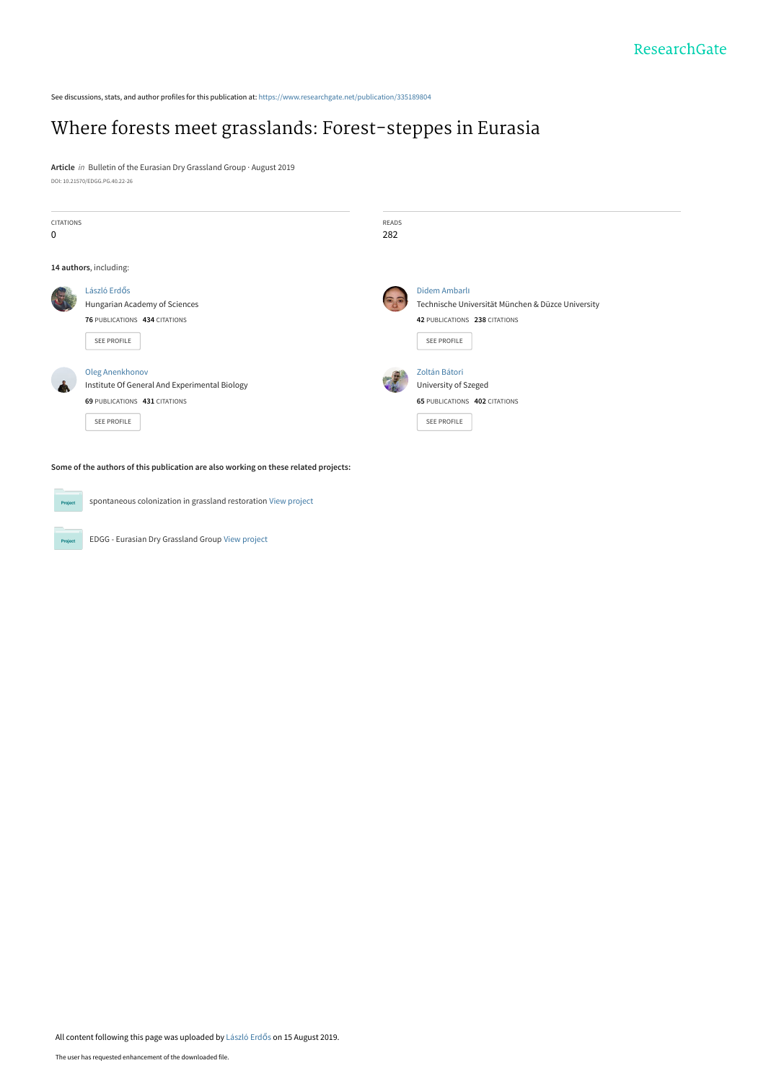See discussions, stats, and author profiles for this publication at: [https://www.researchgate.net/publication/335189804](https://www.researchgate.net/publication/335189804_Where_forests_meet_grasslands_Forest-steppes_in_Eurasia?enrichId=rgreq-676f9975b48c2fcb00754e06bc7b5746-XXX&enrichSource=Y292ZXJQYWdlOzMzNTE4OTgwNDtBUzo3OTIyMDMzODc0NzgwMTZAMTU2NTg4NzQxNDY1NQ%3D%3D&el=1_x_2&_esc=publicationCoverPdf)

# [Where forests meet grasslands: Forest-steppes in Eurasia](https://www.researchgate.net/publication/335189804_Where_forests_meet_grasslands_Forest-steppes_in_Eurasia?enrichId=rgreq-676f9975b48c2fcb00754e06bc7b5746-XXX&enrichSource=Y292ZXJQYWdlOzMzNTE4OTgwNDtBUzo3OTIyMDMzODc0NzgwMTZAMTU2NTg4NzQxNDY1NQ%3D%3D&el=1_x_3&_esc=publicationCoverPdf)

**Article** in Bulletin of the Eurasian Dry Grassland Group · August 2019 DOI: 10.21570/EDGG.PG.40.22-26

| <b>CITATIONS</b> |                                                                                                                  | <b>READS</b><br>282 |                                                                                                                           |
|------------------|------------------------------------------------------------------------------------------------------------------|---------------------|---------------------------------------------------------------------------------------------------------------------------|
|                  | 14 authors, including:                                                                                           |                     |                                                                                                                           |
|                  | László Erdős<br>Hungarian Academy of Sciences<br>76 PUBLICATIONS 434 CITATIONS<br>SEE PROFILE                    | GB                  | Didem Ambarlı<br>Technische Universität München & Düzce University<br>42 PUBLICATIONS 238 CITATIONS<br><b>SEE PROFILE</b> |
|                  | Oleg Anenkhonov<br>Institute Of General And Experimental Biology<br>69 PUBLICATIONS 431 CITATIONS<br>SEE PROFILE |                     | Zoltán Bátori<br>University of Szeged<br><b>65 PUBLICATIONS 402 CITATIONS</b><br><b>SEE PROFILE</b>                       |

**Project** spontaneous colonization in grassland restoration [View project](https://www.researchgate.net/project/spontaneous-colonization-in-grassland-restoration?enrichId=rgreq-676f9975b48c2fcb00754e06bc7b5746-XXX&enrichSource=Y292ZXJQYWdlOzMzNTE4OTgwNDtBUzo3OTIyMDMzODc0NzgwMTZAMTU2NTg4NzQxNDY1NQ%3D%3D&el=1_x_9&_esc=publicationCoverPdf)

EDGG - Eurasian Dry Grassland Group [View project](https://www.researchgate.net/project/EDGG-Eurasian-Dry-Grassland-Group?enrichId=rgreq-676f9975b48c2fcb00754e06bc7b5746-XXX&enrichSource=Y292ZXJQYWdlOzMzNTE4OTgwNDtBUzo3OTIyMDMzODc0NzgwMTZAMTU2NTg4NzQxNDY1NQ%3D%3D&el=1_x_9&_esc=publicationCoverPdf)

Project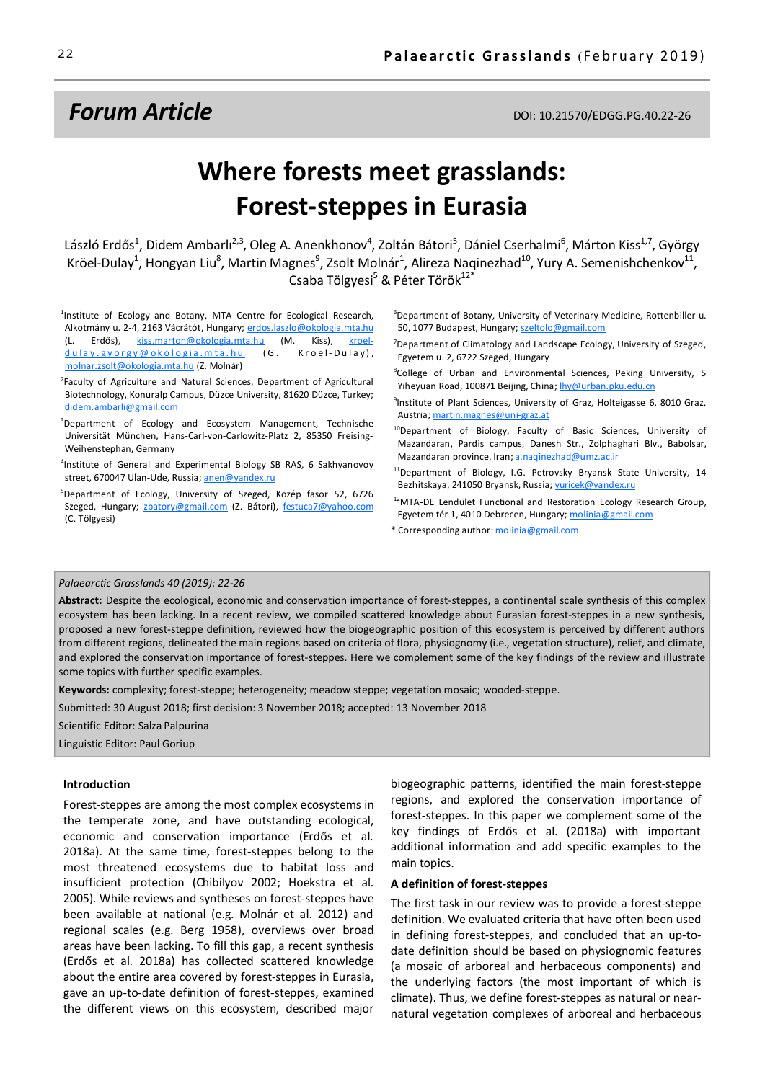# **Forum Article DOI: 10.21570/EDGG.PG.40.22-26**

# **Where forests meet grasslands: Forest-steppes in Eurasia**

László Erdős<sup>1</sup>, Didem Ambarlı<sup>2,3</sup>, Oleg A. Anenkhonov<sup>4</sup>, Zoltán Bátori<sup>5</sup>, Dániel Cserhalmi<sup>6</sup>, Márton Kiss<sup>1,7</sup>, György Kröel-Dulay<sup>1</sup>, Hongyan Liu<sup>8</sup>, Martin Magnes<sup>9</sup>, Zsolt Molnár<sup>1</sup>, Alireza Naqinezhad<sup>10</sup>, Yury A. Semenishchenkov<sup>11</sup>, Csaba Tölgyesi<sup>5</sup> & Péter Török<sup>12\*</sup>

<sup>1</sup>Institute of Ecology and Botany, MTA Centre for Ecological Research, Alkotmány u. 2-4, 2163 Vácrátót, Hungary; erdos.laszlo@okologia.mta.hu (L. Erdős), kiss.marton@okologia.mta.hu (M. Kiss), kroeldulay.gyorgy@okologia.mta.hu (G. Kroel-Dulay), molnar.zsolt@okologia.mta.hu (Z. Molnár)

<sup>2</sup>Faculty of Agriculture and Natural Sciences, Department of Agricultural Biotechnology, Konuralp Campus, Düzce University, 81620 Düzce, Turkey; didem.ambarli@gmail.com

<sup>3</sup>Department of Ecology and Ecosystem Management, Technische Universität München, Hans-Carl-von-Carlowitz-Platz 2, 85350 Freising-Weihenstephan, Germany

- 4 Institute of General and Experimental Biology SB RAS, 6 Sakhyanovoy street, 670047 Ulan-Ude, Russia; anen@yandex.ru
- 5 Department of Ecology, University of Szeged, Közép fasor 52, 6726 Szeged, Hungary; zbatory@gmail.com (Z. Bátori), festuca7@yahoo.com (C. Tölgyesi)

6 Department of Botany, University of Veterinary Medicine, Rottenbiller u. 50, 1077 Budapest, Hungary; szeltolo@gmail.com

<sup>7</sup>Department of Climatology and Landscape Ecology, University of Szeged, Egyetem u. 2, 6722 Szeged, Hungary

8 College of Urban and Environmental Sciences, Peking University, 5 Yiheyuan Road, 100871 Beijing, China; lhy@urban.pku.edu.cn

- <sup>9</sup>Institute of Plant Sciences, University of Graz, Holteigasse 6, 8010 Graz, Austria; martin.magnes@uni-graz.at
- <sup>10</sup>Department of Biology, Faculty of Basic Sciences, University of Mazandaran, Pardis campus, Danesh Str., Zolphaghari Blv., Babolsar, Mazandaran province, Iran; a.naqinezhad@umz.ac.ir
- 11Department of Biology, I.G. Petrovsky Bryansk State University, 14 Bezhitskaya, 241050 Bryansk, Russia; vuricek@yandex.ru
- <sup>12</sup>MTA-DE Lendület Functional and Restoration Ecology Research Group, Egyetem tér 1, 4010 Debrecen, Hungary; molinia@gmail.com
- \* Corresponding author: molinia@gmail.com

#### *Palaearctic Grasslands 40 (2019): 22-26*

**Abstract:** Despite the ecological, economic and conservation importance of forest-steppes, a continental scale synthesis of this complex ecosystem has been lacking. In a recent review, we compiled scattered knowledge about Eurasian forest-steppes in a new synthesis, proposed a new forest-steppe definition, reviewed how the biogeographic position of this ecosystem is perceived by different authors from different regions, delineated the main regions based on criteria of flora, physiognomy (i.e., vegetation structure), relief, and climate, and explored the conservation importance of forest-steppes. Here we complement some of the key findings of the review and illustrate some topics with further specific examples.

**Keywords:** complexity; forest-steppe; heterogeneity; meadow steppe; vegetation mosaic; wooded-steppe.

Submitted: 30 August 2018; first decision: 3 November 2018; accepted: 13 November 2018

Scientific Editor: Salza Palpurina

Linguistic Editor: Paul Goriup

#### **Introduction**

Forest-steppes are among the most complex ecosystems in the temperate zone, and have outstanding ecological, economic and conservation importance (Erdős et al. 2018a). At the same time, forest-steppes belong to the most threatened ecosystems due to habitat loss and insufficient protection (Chibilyov 2002; Hoekstra et al. 2005). While reviews and syntheses on forest-steppes have been available at national (e.g. Molnár et al. 2012) and regional scales (e.g. Berg 1958), overviews over broad areas have been lacking. To fill this gap, a recent synthesis (Erdős et al. 2018a) has collected scattered knowledge about the entire area covered by forest-steppes in Eurasia, gave an up-to-date definition of forest-steppes, examined the different views on this ecosystem, described major

biogeographic patterns, identified the main forest-steppe regions, and explored the conservation importance of forest-steppes. In this paper we complement some of the key findings of Erdős et al. (2018a) with important additional information and add specific examples to the main topics.

### **A definition of forest-steppes**

The first task in our review was to provide a forest-steppe definition. We evaluated criteria that have often been used in defining forest-steppes, and concluded that an up-todate definition should be based on physiognomic features (a mosaic of arboreal and herbaceous components) and the underlying factors (the most important of which is climate). Thus, we define forest-steppes as natural or nearnatural vegetation complexes of arboreal and herbaceous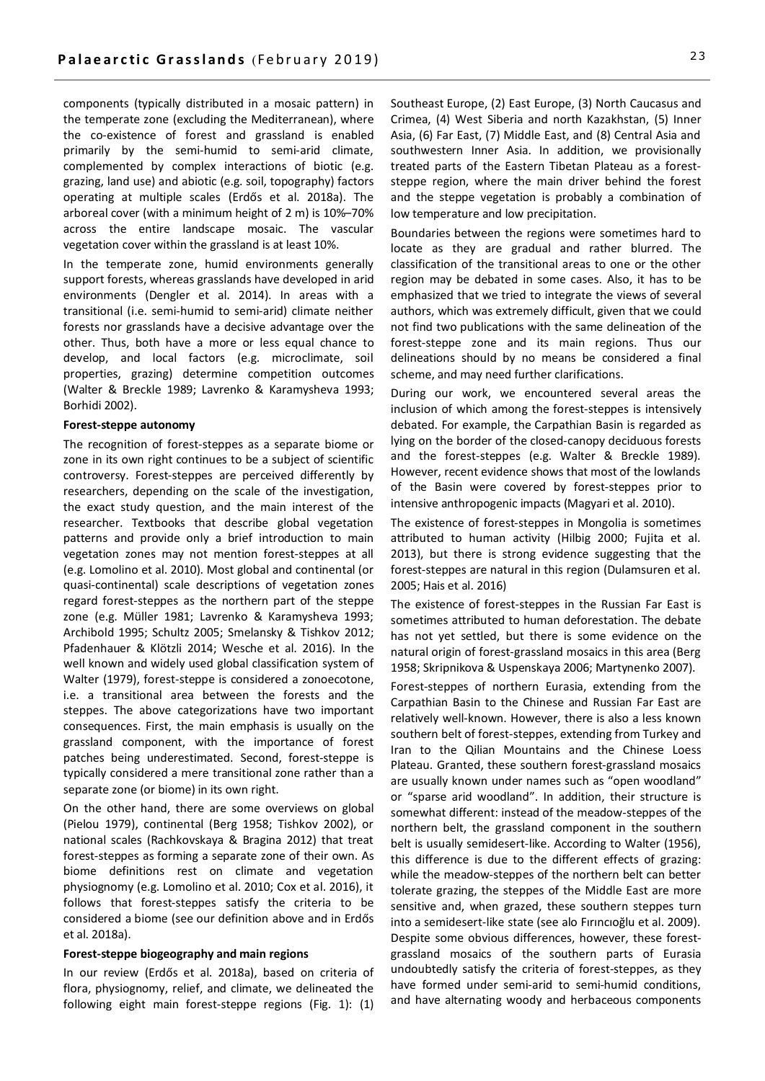components (typically distributed in a mosaic pattern) in the temperate zone (excluding the Mediterranean), where the co-existence of forest and grassland is enabled primarily by the semi-humid to semi-arid climate, complemented by complex interactions of biotic (e.g. grazing, land use) and abiotic (e.g. soil, topography) factors operating at multiple scales (Erdős et al. 2018a). The arboreal cover (with a minimum height of 2 m) is 10%–70% across the entire landscape mosaic. The vascular vegetation cover within the grassland is at least 10%.

In the temperate zone, humid environments generally support forests, whereas grasslands have developed in arid environments (Dengler et al. 2014). In areas with a transitional (i.e. semi-humid to semi-arid) climate neither forests nor grasslands have a decisive advantage over the other. Thus, both have a more or less equal chance to develop, and local factors (e.g. microclimate, soil properties, grazing) determine competition outcomes (Walter & Breckle 1989; Lavrenko & Karamysheva 1993; Borhidi 2002).

#### **Forest-steppe autonomy**

The recognition of forest-steppes as a separate biome or zone in its own right continues to be a subject of scientific controversy. Forest-steppes are perceived differently by researchers, depending on the scale of the investigation, the exact study question, and the main interest of the researcher. Textbooks that describe global vegetation patterns and provide only a brief introduction to main vegetation zones may not mention forest-steppes at all (e.g. Lomolino et al. 2010). Most global and continental (or quasi-continental) scale descriptions of vegetation zones regard forest-steppes as the northern part of the steppe zone (e.g. Müller 1981; Lavrenko & Karamysheva 1993; Archibold 1995; Schultz 2005; Smelansky & Tishkov 2012; Pfadenhauer & Klötzli 2014; Wesche et al. 2016). In the well known and widely used global classification system of Walter (1979), forest-steppe is considered a zonoecotone, i.e. a transitional area between the forests and the steppes. The above categorizations have two important consequences. First, the main emphasis is usually on the grassland component, with the importance of forest patches being underestimated. Second, forest-steppe is typically considered a mere transitional zone rather than a separate zone (or biome) in its own right.

On the other hand, there are some overviews on global (Pielou 1979), continental (Berg 1958; Tishkov 2002), or national scales (Rachkovskaya & Bragina 2012) that treat forest-steppes as forming a separate zone of their own. As biome definitions rest on climate and vegetation physiognomy (e.g. Lomolino et al. 2010; Cox et al. 2016), it follows that forest-steppes satisfy the criteria to be considered a biome (see our definition above and in Erdős et al. 2018a).

#### **Forest-steppe biogeography and main regions**

In our review (Erdős et al. 2018a), based on criteria of flora, physiognomy, relief, and climate, we delineated the following eight main forest-steppe regions (Fig. 1): (1)

Southeast Europe, (2) East Europe, (3) North Caucasus and Crimea, (4) West Siberia and north Kazakhstan, (5) Inner Asia, (6) Far East, (7) Middle East, and (8) Central Asia and southwestern Inner Asia. In addition, we provisionally treated parts of the Eastern Tibetan Plateau as a foreststeppe region, where the main driver behind the forest and the steppe vegetation is probably a combination of low temperature and low precipitation.

Boundaries between the regions were sometimes hard to locate as they are gradual and rather blurred. The classification of the transitional areas to one or the other region may be debated in some cases. Also, it has to be emphasized that we tried to integrate the views of several authors, which was extremely difficult, given that we could not find two publications with the same delineation of the forest-steppe zone and its main regions. Thus our delineations should by no means be considered a final scheme, and may need further clarifications.

During our work, we encountered several areas the inclusion of which among the forest-steppes is intensively debated. For example, the Carpathian Basin is regarded as lying on the border of the closed-canopy deciduous forests and the forest-steppes (e.g. Walter & Breckle 1989). However, recent evidence shows that most of the lowlands of the Basin were covered by forest-steppes prior to intensive anthropogenic impacts (Magyari et al. 2010).

The existence of forest-steppes in Mongolia is sometimes attributed to human activity (Hilbig 2000; Fujita et al. 2013), but there is strong evidence suggesting that the forest-steppes are natural in this region (Dulamsuren et al. 2005; Hais et al. 2016)

The existence of forest-steppes in the Russian Far East is sometimes attributed to human deforestation. The debate has not yet settled, but there is some evidence on the natural origin of forest-grassland mosaics in this area (Berg 1958; Skripnikova & Uspenskaya 2006; Martynenko 2007).

Forest-steppes of northern Eurasia, extending from the Carpathian Basin to the Chinese and Russian Far East are relatively well-known. However, there is also a less known southern belt of forest-steppes, extending from Turkey and Iran to the Qilian Mountains and the Chinese Loess Plateau. Granted, these southern forest-grassland mosaics are usually known under names such as "open woodland" or "sparse arid woodland". In addition, their structure is somewhat different: instead of the meadow-steppes of the northern belt, the grassland component in the southern belt is usually semidesert-like. According to Walter (1956), this difference is due to the different effects of grazing: while the meadow-steppes of the northern belt can better tolerate grazing, the steppes of the Middle East are more sensitive and, when grazed, these southern steppes turn into a semidesert-like state (see alo Fırıncıoğlu et al. 2009). Despite some obvious differences, however, these forestgrassland mosaics of the southern parts of Eurasia undoubtedly satisfy the criteria of forest-steppes, as they have formed under semi-arid to semi-humid conditions, and have alternating woody and herbaceous components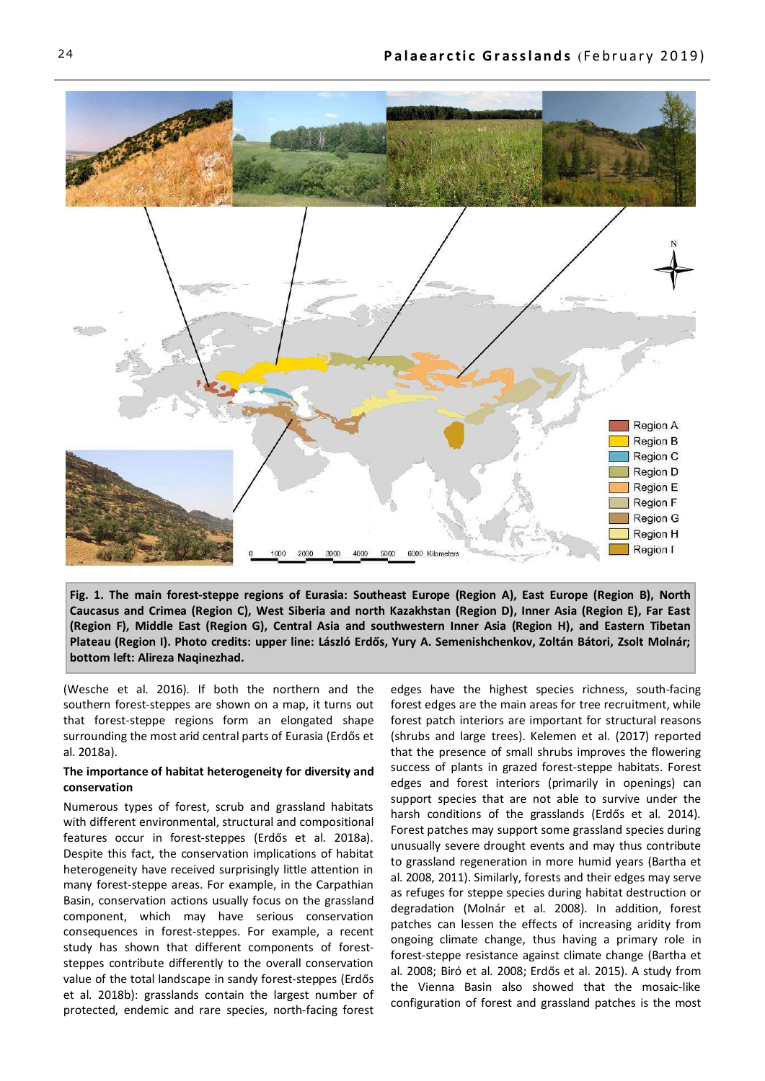

**Fig. 1. The main forest-steppe regions of Eurasia: Southeast Europe (Region A), East Europe (Region B), North Caucasus and Crimea (Region C), West Siberia and north Kazakhstan (Region D), Inner Asia (Region E), Far East (Region F), Middle East (Region G), Central Asia and southwestern Inner Asia (Region H), and Eastern Tibetan Plateau (Region I). Photo credits: upper line: László Erdős, Yury A. Semenishchenkov, Zoltán Bátori, Zsolt Molnár; bottom left: Alireza Naqinezhad.**

(Wesche et al. 2016). If both the northern and the southern forest-steppes are shown on a map, it turns out that forest-steppe regions form an elongated shape surrounding the most arid central parts of Eurasia (Erdős et al. 2018a).

## **The importance of habitat heterogeneity for diversity and conservation**

Numerous types of forest, scrub and grassland habitats with different environmental, structural and compositional features occur in forest-steppes (Erdős et al. 2018a). Despite this fact, the conservation implications of habitat heterogeneity have received surprisingly little attention in many forest-steppe areas. For example, in the Carpathian Basin, conservation actions usually focus on the grassland component, which may have serious conservation consequences in forest-steppes. For example, a recent study has shown that different components of foreststeppes contribute differently to the overall conservation value of the total landscape in sandy forest-steppes (Erdős et al. 2018b): grasslands contain the largest number of protected, endemic and rare species, north-facing forest

edges have the highest species richness, south-facing forest edges are the main areas for tree recruitment, while forest patch interiors are important for structural reasons (shrubs and large trees). Kelemen et al. (2017) reported that the presence of small shrubs improves the flowering success of plants in grazed forest-steppe habitats. Forest edges and forest interiors (primarily in openings) can support species that are not able to survive under the harsh conditions of the grasslands (Erdős et al. 2014). Forest patches may support some grassland species during unusually severe drought events and may thus contribute to grassland regeneration in more humid years (Bartha et al. 2008, 2011). Similarly, forests and their edges may serve as refuges for steppe species during habitat destruction or degradation (Molnár et al. 2008). In addition, forest patches can lessen the effects of increasing aridity from ongoing climate change, thus having a primary role in forest-steppe resistance against climate change (Bartha et al. 2008; Biró et al. 2008; Erdős et al. 2015). A study from the Vienna Basin also showed that the mosaic-like configuration of forest and grassland patches is the most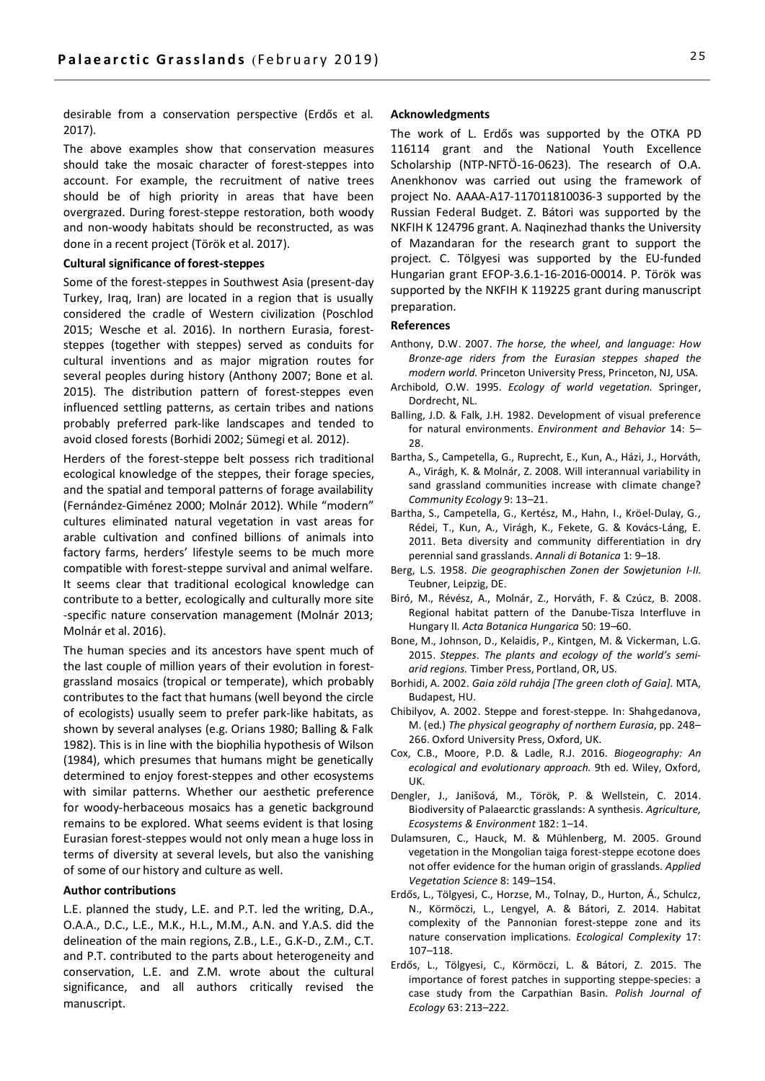desirable from a conservation perspective (Erdős et al. 2017).

The above examples show that conservation measures should take the mosaic character of forest-steppes into account. For example, the recruitment of native trees should be of high priority in areas that have been overgrazed. During forest-steppe restoration, both woody and non-woody habitats should be reconstructed, as was done in a recent project (Török et al. 2017).

## **Cultural significance of forest-steppes**

Some of the forest-steppes in Southwest Asia (present-day Turkey, Iraq, Iran) are located in a region that is usually considered the cradle of Western civilization (Poschlod 2015; Wesche et al. 2016). In northern Eurasia, foreststeppes (together with steppes) served as conduits for cultural inventions and as major migration routes for several peoples during history (Anthony 2007; Bone et al. 2015). The distribution pattern of forest-steppes even influenced settling patterns, as certain tribes and nations probably preferred park-like landscapes and tended to avoid closed forests (Borhidi 2002; Sümegi et al. 2012).

Herders of the forest-steppe belt possess rich traditional ecological knowledge of the steppes, their forage species, and the spatial and temporal patterns of forage availability (Fernández-Giménez 2000; Molnár 2012). While "modern" cultures eliminated natural vegetation in vast areas for arable cultivation and confined billions of animals into factory farms, herders' lifestyle seems to be much more compatible with forest-steppe survival and animal welfare. It seems clear that traditional ecological knowledge can contribute to a better, ecologically and culturally more site -specific nature conservation management (Molnár 2013; Molnár et al. 2016).

The human species and its ancestors have spent much of the last couple of million years of their evolution in forestgrassland mosaics (tropical or temperate), which probably contributes to the fact that humans (well beyond the circle of ecologists) usually seem to prefer park-like habitats, as shown by several analyses (e.g. Orians 1980; Balling & Falk 1982). This is in line with the biophilia hypothesis of Wilson (1984), which presumes that humans might be genetically determined to enjoy forest-steppes and other ecosystems with similar patterns. Whether our aesthetic preference for woody-herbaceous mosaics has a genetic background remains to be explored. What seems evident is that losing Eurasian forest-steppes would not only mean a huge loss in terms of diversity at several levels, but also the vanishing of some of our history and culture as well.

#### **Author contributions**

L.E. planned the study, L.E. and P.T. led the writing, D.A., O.A.A., D.C., L.E., M.K., H.L., M.M., A.N. and Y.A.S. did the delineation of the main regions, Z.B., L.E., G.K-D., Z.M., C.T. and P.T. contributed to the parts about heterogeneity and conservation, L.E. and Z.M. wrote about the cultural significance, and all authors critically revised the manuscript.

#### **Acknowledgments**

The work of L. Erdős was supported by the OTKA PD 116114 grant and the National Youth Excellence Scholarship (NTP-NFTÖ-16-0623). The research of O.A. Anenkhonov was carried out using the framework of project No. AAAA-A17-117011810036-3 supported by the Russian Federal Budget. Z. Bátori was supported by the NKFIH K 124796 grant. A. Naqinezhad thanks the University of Mazandaran for the research grant to support the project. C. Tölgyesi was supported by the EU-funded Hungarian grant EFOP-3.6.1-16-2016-00014. P. Török was supported by the NKFIH K 119225 grant during manuscript preparation.

#### **References**

- Anthony, D.W. 2007. *The horse, the wheel, and language: How Bronze-age riders from the Eurasian steppes shaped the modern world.* Princeton University Press, Princeton, NJ, USA.
- Archibold, O.W. 1995. *Ecology of world vegetation.* Springer, Dordrecht, NL.
- Balling, J.D. & Falk, J.H. 1982. Development of visual preference for natural environments. *Environment and Behavior* 14: 5– 28.
- Bartha, S., Campetella, G., Ruprecht, E., Kun, A., Házi, J., Horváth, A., Virágh, K. & Molnár, Z. 2008. Will interannual variability in sand grassland communities increase with climate change? *Community Ecology* 9: 13–21.
- Bartha, S., Campetella, G., Kertész, M., Hahn, I., Kröel-Dulay, G., Rédei, T., Kun, A., Virágh, K., Fekete, G. & Kovács-Láng, E. 2011. Beta diversity and community differentiation in dry perennial sand grasslands. *Annali di Botanica* 1: 9–18.
- Berg, L.S. 1958. *Die geographischen Zonen der Sowjetunion I-II.* Teubner, Leipzig, DE.
- Biró, M., Révész, A., Molnár, Z., Horváth, F. & Czúcz, B. 2008. Regional habitat pattern of the Danube-Tisza Interfluve in Hungary II. *Acta Botanica Hungarica* 50: 19–60.
- Bone, M., Johnson, D., Kelaidis, P., Kintgen, M. & Vickerman, L.G. 2015. *Steppes. The plants and ecology of the world's semiarid regions.* Timber Press, Portland, OR, US.
- Borhidi, A. 2002. *Gaia zöld ruhája [The green cloth of Gaia].* MTA, Budapest, HU.
- Chibilyov, A. 2002. Steppe and forest-steppe. In: Shahgedanova, M. (ed.) *The physical geography of northern Eurasia*, pp. 248– 266. Oxford University Press, Oxford, UK.
- Cox, C.B., Moore, P.D. & Ladle, R.J. 2016. *Biogeography: An ecological and evolutionary approach.* 9th ed. Wiley, Oxford, UK.
- Dengler, J., Janišová, M., Török, P. & Wellstein, C. 2014. Biodiversity of Palaearctic grasslands: A synthesis. *Agriculture, Ecosystems & Environment* 182: 1–14.
- Dulamsuren, C., Hauck, M. & Mühlenberg, M. 2005. Ground vegetation in the Mongolian taiga forest-steppe ecotone does not offer evidence for the human origin of grasslands. *Applied Vegetation Science* 8: 149–154.
- Erdős, L., Tölgyesi, C., Horzse, M., Tolnay, D., Hurton, Á., Schulcz, N., Körmöczi, L., Lengyel, A. & Bátori, Z. 2014. Habitat complexity of the Pannonian forest-steppe zone and its nature conservation implications. *Ecological Complexity* 17: 107–118.
- Erdős, L., Tölgyesi, C., Körmöczi, L. & Bátori, Z. 2015. The importance of forest patches in supporting steppe-species: a case study from the Carpathian Basin. *Polish Journal of Ecology* 63: 213–222.